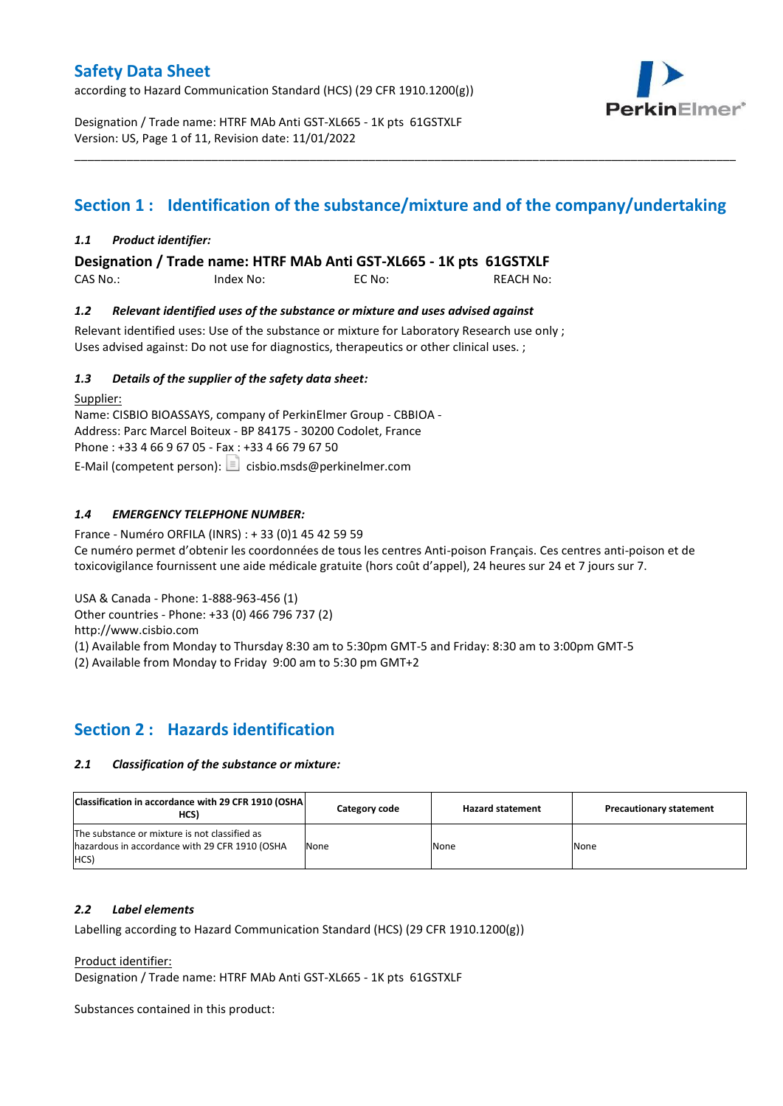according to Hazard Communication Standard (HCS) (29 CFR 1910.1200(g))



Designation / Trade name: HTRF MAb Anti GST-XL665 - 1K pts 61GSTXLF Version: US, Page 1 of 11, Revision date: 11/01/2022

# **Section 1 : Identification of the substance/mixture and of the company/undertaking**

\_\_\_\_\_\_\_\_\_\_\_\_\_\_\_\_\_\_\_\_\_\_\_\_\_\_\_\_\_\_\_\_\_\_\_\_\_\_\_\_\_\_\_\_\_\_\_\_\_\_\_\_\_\_\_\_\_\_\_\_\_\_\_\_\_\_\_\_\_\_\_\_\_\_\_\_\_\_\_\_\_\_\_\_\_\_\_\_\_\_\_\_\_\_\_\_\_\_\_\_\_

### *1.1 Product identifier:*

**Designation / Trade name: HTRF MAb Anti GST-XL665 - 1K pts 61GSTXLF** 

CAS No.: Index No: EC No: REACH No:

### *1.2 Relevant identified uses of the substance or mixture and uses advised against*

Relevant identified uses: Use of the substance or mixture for Laboratory Research use only ; Uses advised against: Do not use for diagnostics, therapeutics or other clinical uses. ;

### *1.3 Details of the supplier of the safety data sheet:*

Supplier: Name: CISBIO BIOASSAYS, company of PerkinElmer Group - CBBIOA - Address: Parc Marcel Boiteux - BP 84175 - 30200 Codolet, France Phone : +33 4 66 9 67 05 - Fax : +33 4 66 79 67 50 E-Mail (competent person):  $\boxed{\equiv}$  cisbio.msds@perkinelmer.com

### *1.4 EMERGENCY TELEPHONE NUMBER:*

France - Numéro ORFILA (INRS) : + 33 (0)1 45 42 59 59 Ce numéro permet d'obtenir les coordonnées de tous les centres Anti-poison Français. Ces centres anti-poison et de toxicovigilance fournissent une aide médicale gratuite (hors coût d'appel), 24 heures sur 24 et 7 jours sur 7.

USA & Canada - Phone: 1-888-963-456 (1)

Other countries - Phone: +33 (0) 466 796 737 (2)

http://www.cisbio.com

(1) Available from Monday to Thursday 8:30 am to 5:30pm GMT-5 and Friday: 8:30 am to 3:00pm GMT-5

(2) Available from Monday to Friday 9:00 am to 5:30 pm GMT+2

### **Section 2 : Hazards identification**

#### *2.1 Classification of the substance or mixture:*

| Classification in accordance with 29 CFR 1910 (OSHA)<br>HCS)                                            | Category code | <b>Hazard statement</b> | <b>Precautionary statement</b> |
|---------------------------------------------------------------------------------------------------------|---------------|-------------------------|--------------------------------|
| The substance or mixture is not classified as<br>hazardous in accordance with 29 CFR 1910 (OSHA<br>HCS) | None          | None                    | None                           |

#### *2.2 Label elements*

Labelling according to Hazard Communication Standard (HCS) (29 CFR 1910.1200(g))

Product identifier:

Designation / Trade name: HTRF MAb Anti GST-XL665 - 1K pts 61GSTXLF

Substances contained in this product: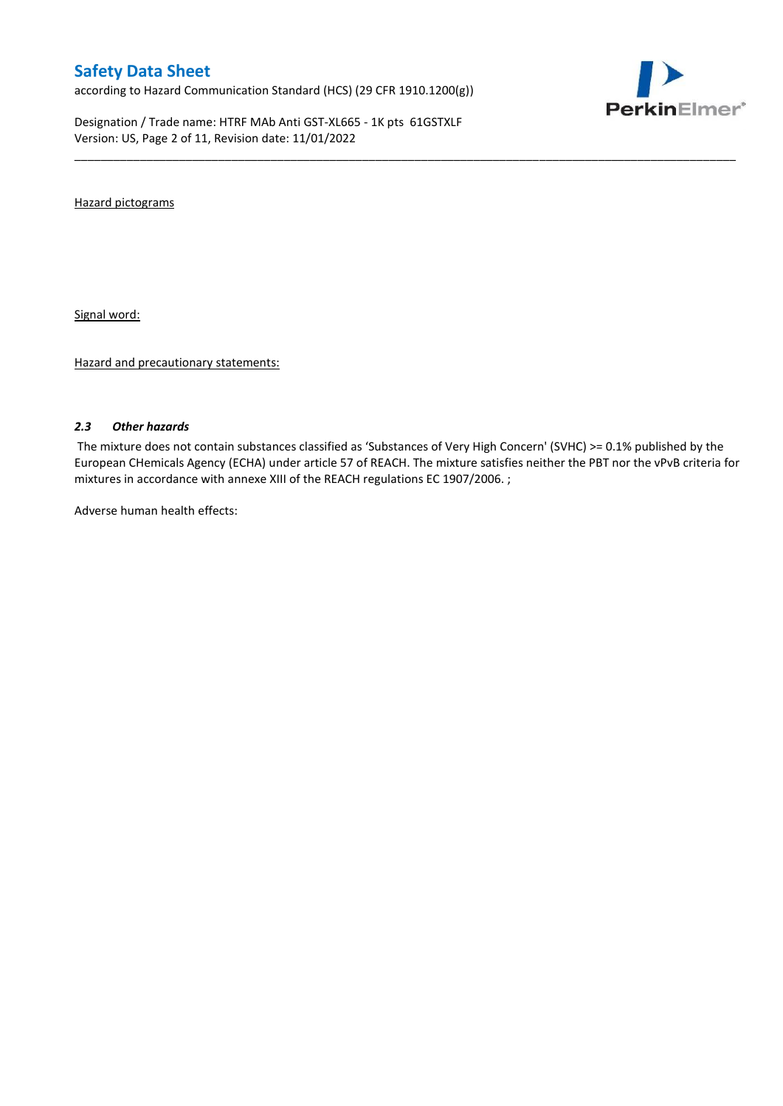according to Hazard Communication Standard (HCS) (29 CFR 1910.1200(g))

Designation / Trade name: HTRF MAb Anti GST-XL665 - 1K pts 61GSTXLF Version: US, Page 2 of 11, Revision date: 11/01/2022



Hazard pictograms

Signal word:

Hazard and precautionary statements:

#### *2.3 Other hazards*

The mixture does not contain substances classified as 'Substances of Very High Concern' (SVHC) >= 0.1% published by the European CHemicals Agency (ECHA) under article 57 of REACH. The mixture satisfies neither the PBT nor the vPvB criteria for mixtures in accordance with annexe XIII of the REACH regulations EC 1907/2006. ;

\_\_\_\_\_\_\_\_\_\_\_\_\_\_\_\_\_\_\_\_\_\_\_\_\_\_\_\_\_\_\_\_\_\_\_\_\_\_\_\_\_\_\_\_\_\_\_\_\_\_\_\_\_\_\_\_\_\_\_\_\_\_\_\_\_\_\_\_\_\_\_\_\_\_\_\_\_\_\_\_\_\_\_\_\_\_\_\_\_\_\_\_\_\_\_\_\_\_\_\_\_

Adverse human health effects: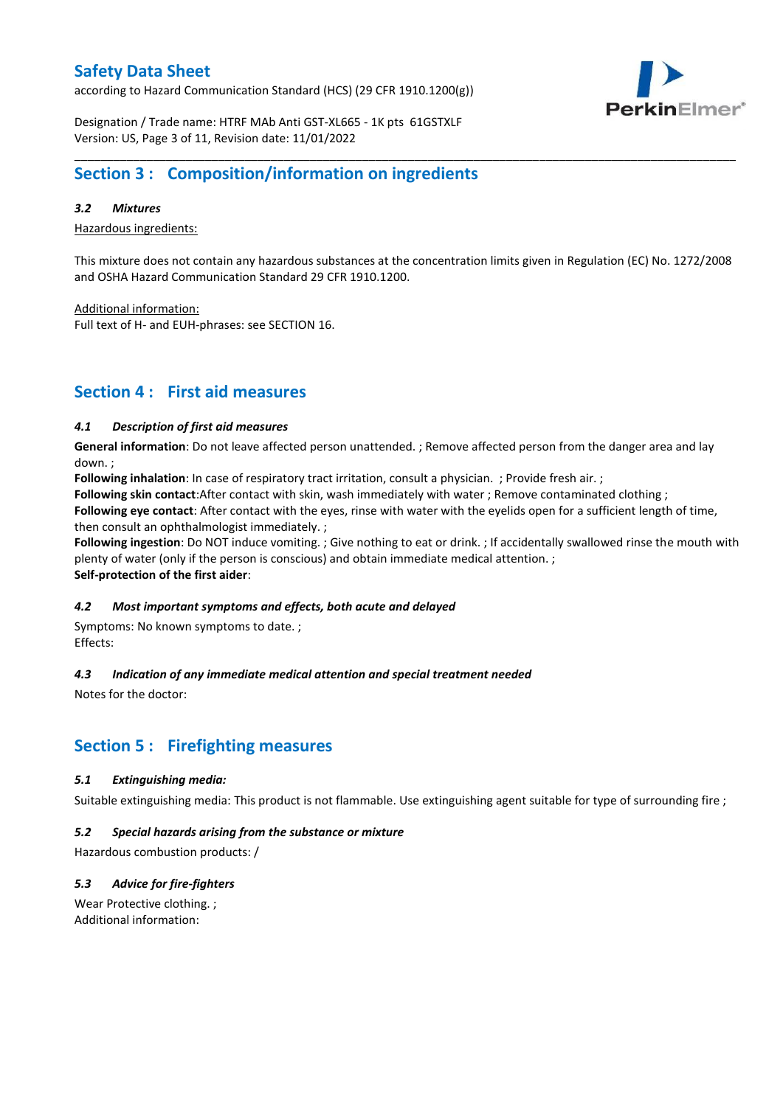according to Hazard Communication Standard (HCS) (29 CFR 1910.1200(g))



Designation / Trade name: HTRF MAb Anti GST-XL665 - 1K pts 61GSTXLF Version: US, Page 3 of 11, Revision date: 11/01/2022

## **Section 3 : Composition/information on ingredients**

### *3.2 Mixtures*

Hazardous ingredients:

This mixture does not contain any hazardous substances at the concentration limits given in Regulation (EC) No. 1272/2008 and OSHA Hazard Communication Standard 29 CFR 1910.1200.

\_\_\_\_\_\_\_\_\_\_\_\_\_\_\_\_\_\_\_\_\_\_\_\_\_\_\_\_\_\_\_\_\_\_\_\_\_\_\_\_\_\_\_\_\_\_\_\_\_\_\_\_\_\_\_\_\_\_\_\_\_\_\_\_\_\_\_\_\_\_\_\_\_\_\_\_\_\_\_\_\_\_\_\_\_\_\_\_\_\_\_\_\_\_\_\_\_\_\_\_\_

Additional information:

Full text of H- and EUH-phrases: see SECTION 16.

### **Section 4 : First aid measures**

### *4.1 Description of first aid measures*

**General information**: Do not leave affected person unattended. ; Remove affected person from the danger area and lay down. ;

**Following inhalation**: In case of respiratory tract irritation, consult a physician. ; Provide fresh air. ;

**Following skin contact**:After contact with skin, wash immediately with water ; Remove contaminated clothing ;

**Following eye contact**: After contact with the eyes, rinse with water with the eyelids open for a sufficient length of time, then consult an ophthalmologist immediately. ;

**Following ingestion**: Do NOT induce vomiting. ; Give nothing to eat or drink. ; If accidentally swallowed rinse the mouth with plenty of water (only if the person is conscious) and obtain immediate medical attention. ; **Self-protection of the first aider**:

#### *4.2 Most important symptoms and effects, both acute and delayed*

Symptoms: No known symptoms to date. ; Effects:

### *4.3 Indication of any immediate medical attention and special treatment needed*

Notes for the doctor:

## **Section 5 : Firefighting measures**

#### *5.1 Extinguishing media:*

Suitable extinguishing media: This product is not flammable. Use extinguishing agent suitable for type of surrounding fire ;

#### *5.2 Special hazards arising from the substance or mixture*

Hazardous combustion products: /

### *5.3 Advice for fire-fighters*

Wear Protective clothing. ; Additional information: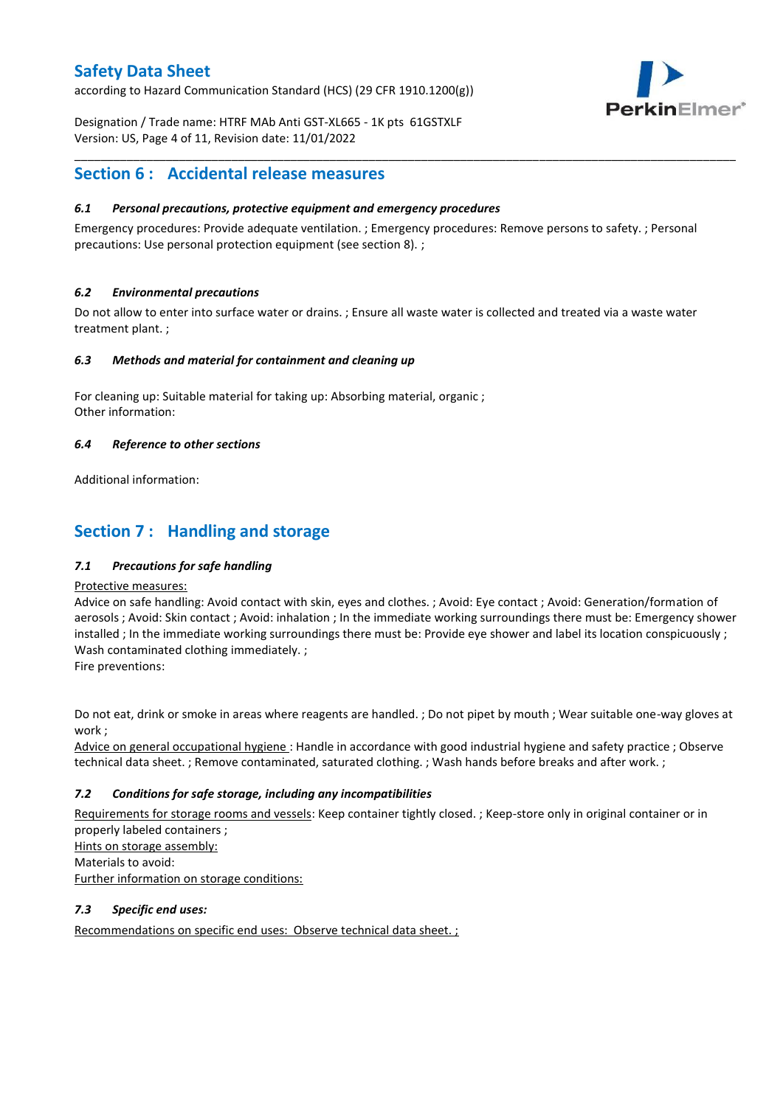according to Hazard Communication Standard (HCS) (29 CFR 1910.1200(g))



Designation / Trade name: HTRF MAb Anti GST-XL665 - 1K pts 61GSTXLF Version: US, Page 4 of 11, Revision date: 11/01/2022

### **Section 6 : Accidental release measures**

### *6.1 Personal precautions, protective equipment and emergency procedures*

Emergency procedures: Provide adequate ventilation. ; Emergency procedures: Remove persons to safety. ; Personal precautions: Use personal protection equipment (see section 8). ;

\_\_\_\_\_\_\_\_\_\_\_\_\_\_\_\_\_\_\_\_\_\_\_\_\_\_\_\_\_\_\_\_\_\_\_\_\_\_\_\_\_\_\_\_\_\_\_\_\_\_\_\_\_\_\_\_\_\_\_\_\_\_\_\_\_\_\_\_\_\_\_\_\_\_\_\_\_\_\_\_\_\_\_\_\_\_\_\_\_\_\_\_\_\_\_\_\_\_\_\_\_

### *6.2 Environmental precautions*

Do not allow to enter into surface water or drains. ; Ensure all waste water is collected and treated via a waste water treatment plant. ;

#### *6.3 Methods and material for containment and cleaning up*

For cleaning up: Suitable material for taking up: Absorbing material, organic ; Other information:

### *6.4 Reference to other sections*

Additional information:

## **Section 7 : Handling and storage**

### *7.1 Precautions for safe handling*

#### Protective measures:

Advice on safe handling: Avoid contact with skin, eyes and clothes. ; Avoid: Eye contact ; Avoid: Generation/formation of aerosols ; Avoid: Skin contact ; Avoid: inhalation ; In the immediate working surroundings there must be: Emergency shower installed ; In the immediate working surroundings there must be: Provide eye shower and label its location conspicuously; Wash contaminated clothing immediately. ;

Fire preventions:

Do not eat, drink or smoke in areas where reagents are handled. ; Do not pipet by mouth ; Wear suitable one-way gloves at work ;

Advice on general occupational hygiene : Handle in accordance with good industrial hygiene and safety practice ; Observe technical data sheet. ; Remove contaminated, saturated clothing. ; Wash hands before breaks and after work. ;

### *7.2 Conditions for safe storage, including any incompatibilities*

Requirements for storage rooms and vessels: Keep container tightly closed. ; Keep-store only in original container or in properly labeled containers ; Hints on storage assembly: Materials to avoid:

Further information on storage conditions:

### *7.3 Specific end uses:*

Recommendations on specific end uses: Observe technical data sheet. ;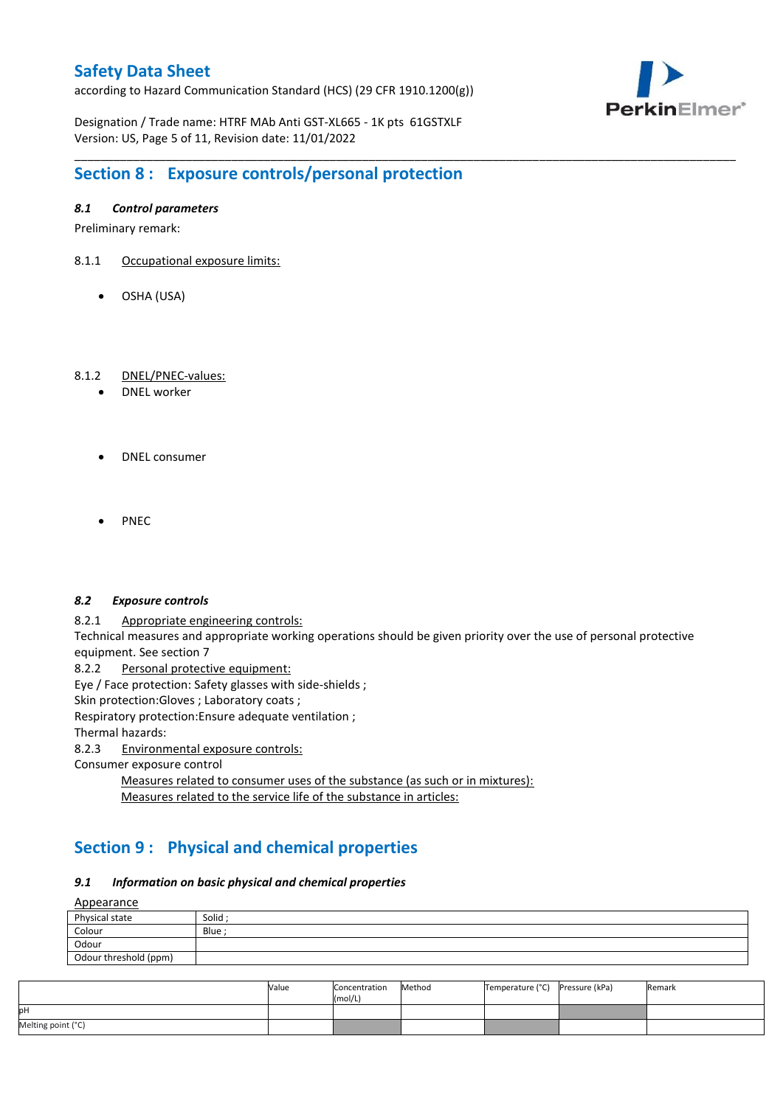according to Hazard Communication Standard (HCS) (29 CFR 1910.1200(g))



Designation / Trade name: HTRF MAb Anti GST-XL665 - 1K pts 61GSTXLF Version: US, Page 5 of 11, Revision date: 11/01/2022

# **Section 8 : Exposure controls/personal protection**

### *8.1 Control parameters*

Preliminary remark:

- 8.1.1 Occupational exposure limits:
	- OSHA (USA)

### 8.1.2 DNEL/PNEC-values:

- DNEL worker
- DNEL consumer
- PNEC

#### *8.2 Exposure controls*

8.2.1 Appropriate engineering controls:

Technical measures and appropriate working operations should be given priority over the use of personal protective equipment. See section 7

\_\_\_\_\_\_\_\_\_\_\_\_\_\_\_\_\_\_\_\_\_\_\_\_\_\_\_\_\_\_\_\_\_\_\_\_\_\_\_\_\_\_\_\_\_\_\_\_\_\_\_\_\_\_\_\_\_\_\_\_\_\_\_\_\_\_\_\_\_\_\_\_\_\_\_\_\_\_\_\_\_\_\_\_\_\_\_\_\_\_\_\_\_\_\_\_\_\_\_\_\_

8.2.2 Personal protective equipment:

Eye / Face protection: Safety glasses with side-shields ;

Skin protection: Gloves ; Laboratory coats ;

Respiratory protection:Ensure adequate ventilation ;

Thermal hazards:

8.2.3 Environmental exposure controls:

Consumer exposure control

Measures related to consumer uses of the substance (as such or in mixtures): Measures related to the service life of the substance in articles:

# **Section 9 : Physical and chemical properties**

#### *9.1 Information on basic physical and chemical properties*

Appearance

| <u>Appearance</u>     |         |
|-----------------------|---------|
| Physical state        | Solid ; |
| Colour                | Blue    |
| Odour                 |         |
| Odour threshold (ppm) |         |

|                    | Value | Concentration<br>(mol/L) | Method | Temperature (°C) | Pressure (kPa) | Remark |
|--------------------|-------|--------------------------|--------|------------------|----------------|--------|
| pН                 |       |                          |        |                  |                |        |
| Melting point (°C) |       |                          |        |                  |                |        |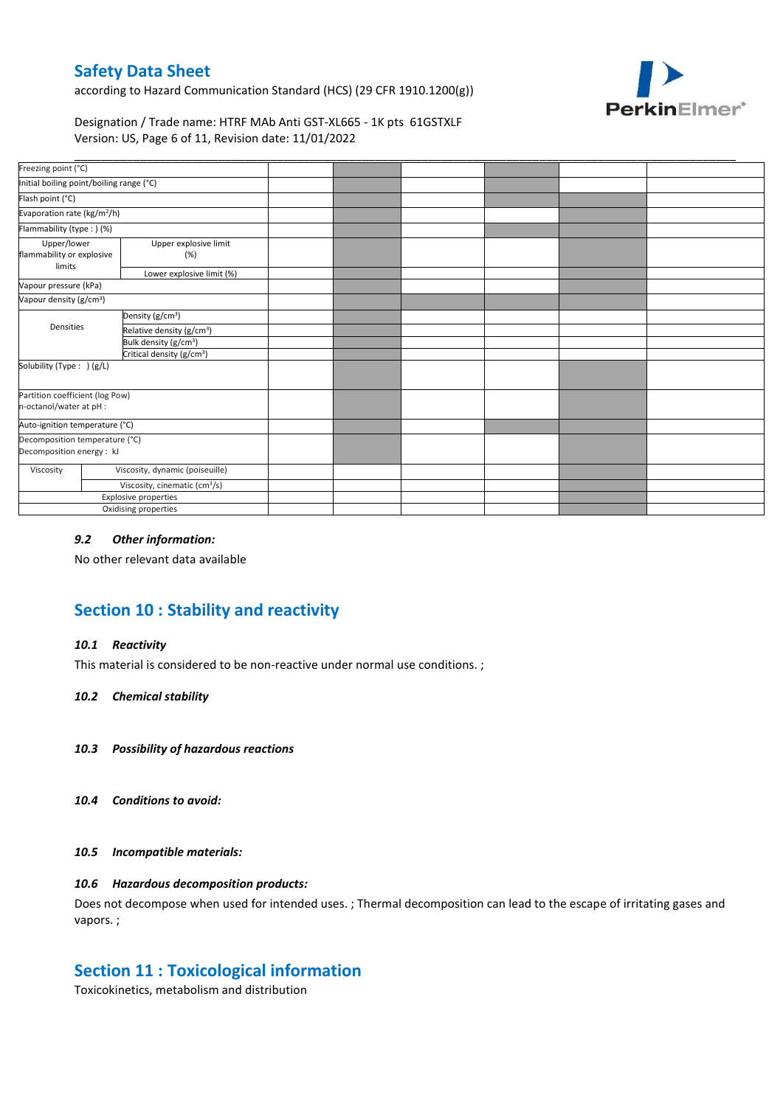according to Hazard Communication Standard (HCS) (29 CFR 1910.1200(g))



### Designation / Trade name: HTRF MAb Anti GST-XL665 - 1K pts 61GSTXLF Version: US, Page 6 of 11, Revision date: 11/01/2022

| Freezing point (°C)                                         |  |                                           |  |  |  |
|-------------------------------------------------------------|--|-------------------------------------------|--|--|--|
| Initial boiling point/boiling range (°C)                    |  |                                           |  |  |  |
| Flash point (°C)                                            |  |                                           |  |  |  |
| Evaporation rate (kg/m <sup>2</sup> /h)                     |  |                                           |  |  |  |
| Flammability (type:) (%)                                    |  |                                           |  |  |  |
| Upper/lower<br>flammability or explosive<br>limits          |  | Upper explosive limit<br>(%)              |  |  |  |
|                                                             |  | Lower explosive limit (%)                 |  |  |  |
| Vapour pressure (kPa)                                       |  |                                           |  |  |  |
| Vapour density (g/cm <sup>3</sup> )                         |  |                                           |  |  |  |
|                                                             |  | Density (g/cm <sup>3</sup> )              |  |  |  |
| Densities                                                   |  | Relative density (g/cm <sup>3</sup> )     |  |  |  |
|                                                             |  | Bulk density (g/cm <sup>3</sup> )         |  |  |  |
|                                                             |  | Critical density (g/cm <sup>3</sup> )     |  |  |  |
| Solubility (Type: ) (g/L)                                   |  |                                           |  |  |  |
| Partition coefficient (log Pow)<br>n-octanol/water at pH :  |  |                                           |  |  |  |
| Auto-ignition temperature (°C)                              |  |                                           |  |  |  |
| Decomposition temperature (°C)<br>Decomposition energy : kJ |  |                                           |  |  |  |
| Viscosity                                                   |  | Viscosity, dynamic (poiseuille)           |  |  |  |
|                                                             |  | Viscosity, cinematic (cm <sup>3</sup> /s) |  |  |  |
|                                                             |  | Explosive properties                      |  |  |  |
|                                                             |  | Oxidising properties                      |  |  |  |

### *9.2 Other information:*

No other relevant data available

# **Section 10 : Stability and reactivity**

#### *10.1 Reactivity*

This material is considered to be non-reactive under normal use conditions. ;

#### *10.2 Chemical stability*

- *10.3 Possibility of hazardous reactions*
- *10.4 Conditions to avoid:*

#### *10.5 Incompatible materials:*

### *10.6 Hazardous decomposition products:*

Does not decompose when used for intended uses. ; Thermal decomposition can lead to the escape of irritating gases and vapors. ;

### **Section 11 : Toxicological information**

Toxicokinetics, metabolism and distribution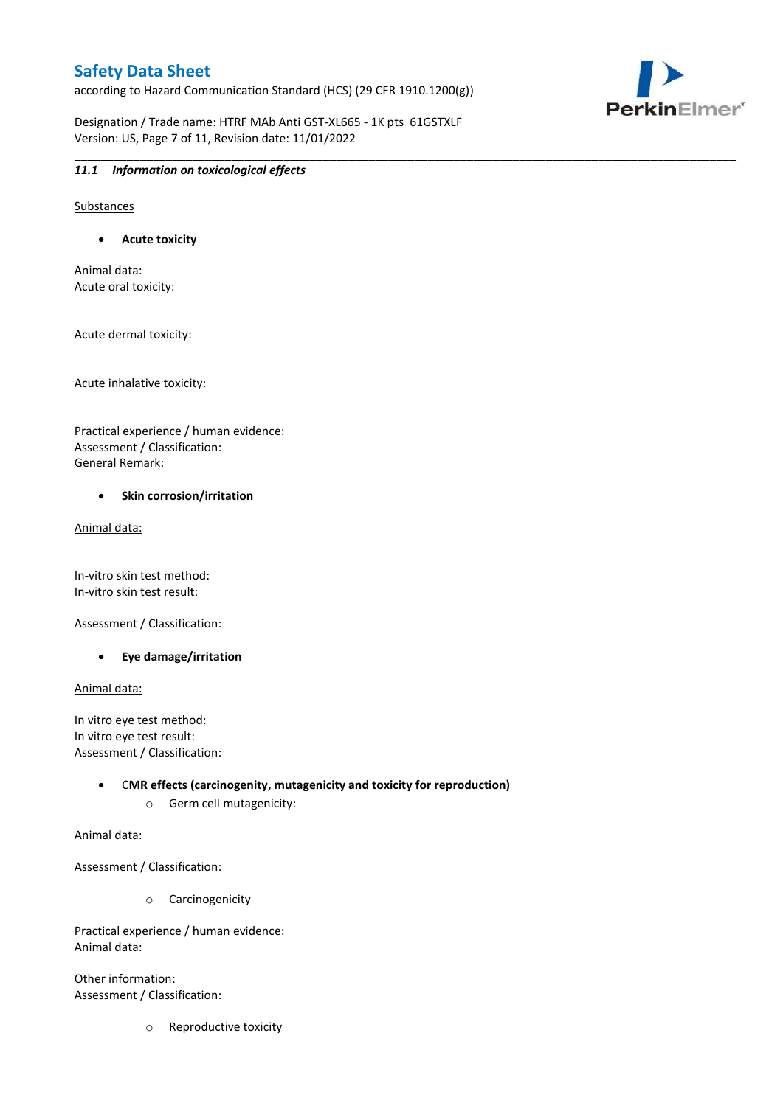according to Hazard Communication Standard (HCS) (29 CFR 1910.1200(g))



Designation / Trade name: HTRF MAb Anti GST-XL665 - 1K pts 61GSTXLF Version: US, Page 7 of 11, Revision date: 11/01/2022

\_\_\_\_\_\_\_\_\_\_\_\_\_\_\_\_\_\_\_\_\_\_\_\_\_\_\_\_\_\_\_\_\_\_\_\_\_\_\_\_\_\_\_\_\_\_\_\_\_\_\_\_\_\_\_\_\_\_\_\_\_\_\_\_\_\_\_\_\_\_\_\_\_\_\_\_\_\_\_\_\_\_\_\_\_\_\_\_\_\_\_\_\_\_\_\_\_\_\_\_\_

### *11.1 Information on toxicological effects*

Substances

**Acute toxicity**

Animal data: Acute oral toxicity:

Acute dermal toxicity:

Acute inhalative toxicity:

Practical experience / human evidence: Assessment / Classification: General Remark:

#### **•** Skin corrosion/irritation

Animal data:

In-vitro skin test method: In-vitro skin test result:

Assessment / Classification:

**Eye damage/irritation**

Animal data:

In vitro eye test method: In vitro eye test result: Assessment / Classification:

> C**MR effects (carcinogenity, mutagenicity and toxicity for reproduction)** o Germ cell mutagenicity:

Animal data:

Assessment / Classification:

o Carcinogenicity

Practical experience / human evidence: Animal data:

Other information: Assessment / Classification:

o Reproductive toxicity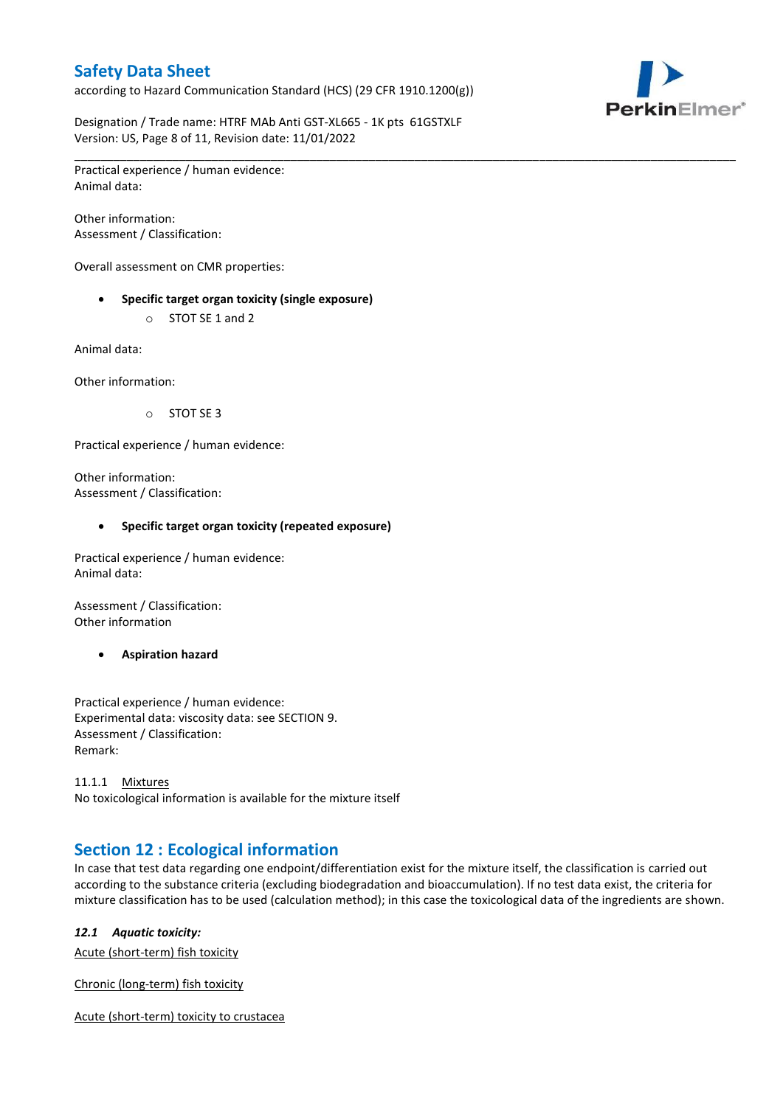according to Hazard Communication Standard (HCS) (29 CFR 1910.1200(g))



Designation / Trade name: HTRF MAb Anti GST-XL665 - 1K pts 61GSTXLF Version: US, Page 8 of 11, Revision date: 11/01/2022

\_\_\_\_\_\_\_\_\_\_\_\_\_\_\_\_\_\_\_\_\_\_\_\_\_\_\_\_\_\_\_\_\_\_\_\_\_\_\_\_\_\_\_\_\_\_\_\_\_\_\_\_\_\_\_\_\_\_\_\_\_\_\_\_\_\_\_\_\_\_\_\_\_\_\_\_\_\_\_\_\_\_\_\_\_\_\_\_\_\_\_\_\_\_\_\_\_\_\_\_\_

Practical experience / human evidence: Animal data:

Other information: Assessment / Classification:

Overall assessment on CMR properties:

- **Specific target organ toxicity (single exposure)**
	- o STOT SE 1 and 2

Animal data:

Other information:

o STOT SE 3

Practical experience / human evidence:

Other information: Assessment / Classification:

#### **Specific target organ toxicity (repeated exposure)**

Practical experience / human evidence: Animal data:

Assessment / Classification: Other information

**Aspiration hazard**

Practical experience / human evidence: Experimental data: viscosity data: see SECTION 9. Assessment / Classification: Remark:

11.1.1 Mixtures No toxicological information is available for the mixture itself

## **Section 12 : Ecological information**

In case that test data regarding one endpoint/differentiation exist for the mixture itself, the classification is carried out according to the substance criteria (excluding biodegradation and bioaccumulation). If no test data exist, the criteria for mixture classification has to be used (calculation method); in this case the toxicological data of the ingredients are shown.

#### *12.1 Aquatic toxicity:*

Acute (short-term) fish toxicity

Chronic (long-term) fish toxicity

Acute (short-term) toxicity to crustacea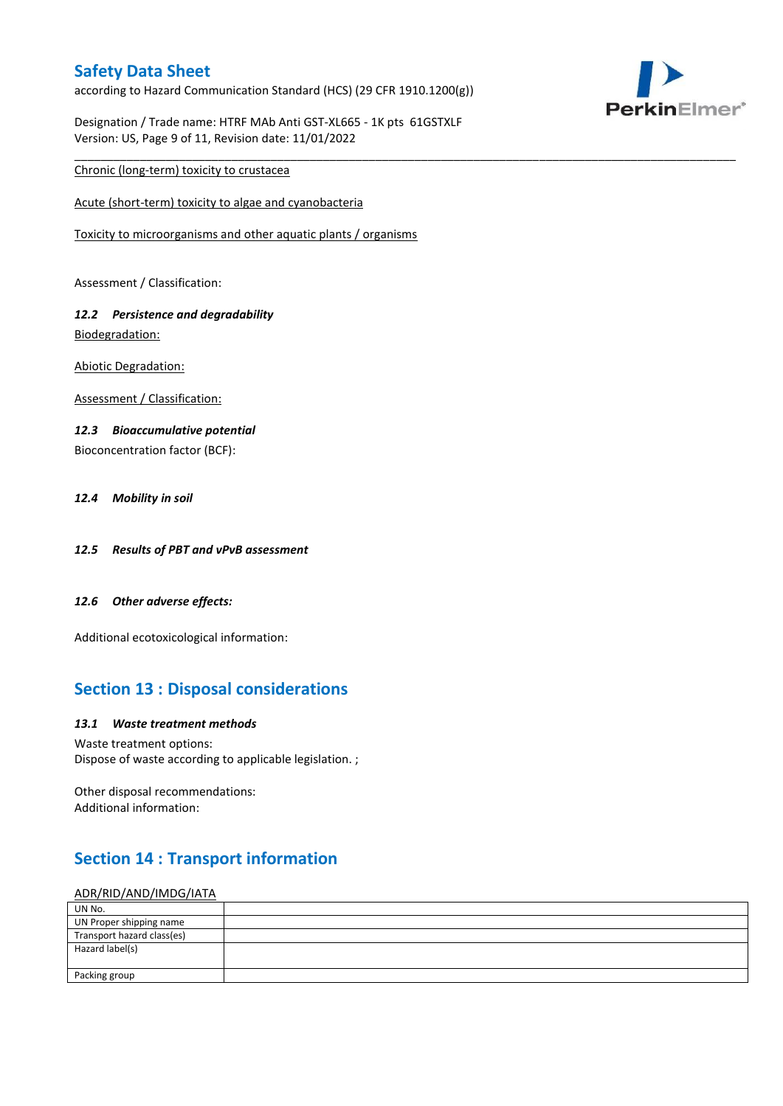according to Hazard Communication Standard (HCS) (29 CFR 1910.1200(g))



Designation / Trade name: HTRF MAb Anti GST-XL665 - 1K pts 61GSTXLF Version: US, Page 9 of 11, Revision date: 11/01/2022

\_\_\_\_\_\_\_\_\_\_\_\_\_\_\_\_\_\_\_\_\_\_\_\_\_\_\_\_\_\_\_\_\_\_\_\_\_\_\_\_\_\_\_\_\_\_\_\_\_\_\_\_\_\_\_\_\_\_\_\_\_\_\_\_\_\_\_\_\_\_\_\_\_\_\_\_\_\_\_\_\_\_\_\_\_\_\_\_\_\_\_\_\_\_\_\_\_\_\_\_\_

### Chronic (long-term) toxicity to crustacea

Acute (short-term) toxicity to algae and cyanobacteria

Toxicity to microorganisms and other aquatic plants / organisms

Assessment / Classification:

### *12.2 Persistence and degradability* Biodegradation:

Abiotic Degradation:

Assessment / Classification:

#### *12.3 Bioaccumulative potential*

Bioconcentration factor (BCF):

#### *12.4 Mobility in soil*

- *12.5 Results of PBT and vPvB assessment*
- *12.6 Other adverse effects:*

Additional ecotoxicological information:

## **Section 13 : Disposal considerations**

#### *13.1 Waste treatment methods*

Waste treatment options: Dispose of waste according to applicable legislation. ;

Other disposal recommendations: Additional information:

## **Section 14 : Transport information**

#### ADR/RID/AND/IMDG/IATA

| UN No.                     |  |
|----------------------------|--|
| UN Proper shipping name    |  |
| Transport hazard class(es) |  |
| Hazard label(s)            |  |
|                            |  |
| Packing group              |  |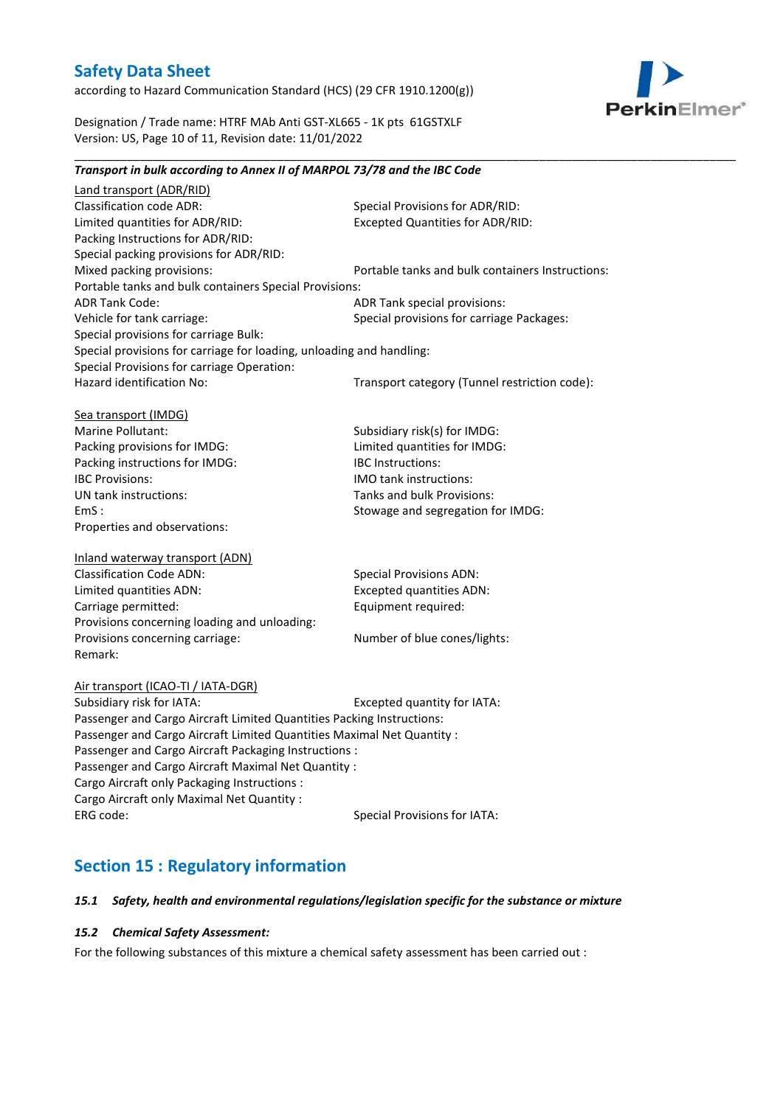according to Hazard Communication Standard (HCS) (29 CFR 1910.1200(g))



Designation / Trade name: HTRF MAb Anti GST-XL665 - 1K pts 61GSTXLF Version: US, Page 10 of 11, Revision date: 11/01/2022

# *Transport in bulk according to Annex II of MARPOL 73/78 and the IBC Code*

\_\_\_\_\_\_\_\_\_\_\_\_\_\_\_\_\_\_\_\_\_\_\_\_\_\_\_\_\_\_\_\_\_\_\_\_\_\_\_\_\_\_\_\_\_\_\_\_\_\_\_\_\_\_\_\_\_\_\_\_\_\_\_\_\_\_\_\_\_\_\_\_\_\_\_\_\_\_\_\_\_\_\_\_\_\_\_\_\_\_\_\_\_\_\_\_\_\_\_\_\_

Land transport (ADR/RID) Classification code ADR: Special Provisions for ADR/RID:<br>
Limited quantities for ADR/RID: Excepted Quantities for ADR/RI Excepted Quantities for ADR/RID: Packing Instructions for ADR/RID: Special packing provisions for ADR/RID: Mixed packing provisions: Portable tanks and bulk containers Instructions: Portable tanks and bulk containers Special Provisions: ADR Tank Code: ADR Tank special provisions: Vehicle for tank carriage:  $S$  Special provisions for carriage Packages: Special provisions for carriage Bulk: Special provisions for carriage for loading, unloading and handling: Special Provisions for carriage Operation: Hazard identification No: Transport category (Tunnel restriction code): Sea transport (IMDG) Marine Pollutant: Subsidiary risk(s) for IMDG: Packing provisions for IMDG: Limited quantities for IMDG: Packing instructions for IMDG: IBC Instructions: IBC Provisions: IMO tank instructions: UN tank instructions: Tanks and bulk Provisions: EmS : Stowage and segregation for IMDG: Properties and observations: Inland waterway transport (ADN) Classification Code ADN: Special Provisions ADN: Limited quantities ADN: Excepted quantities ADN: Carriage permitted: Carriage permitted: Provisions concerning loading and unloading: Provisions concerning carriage: Number of blue cones/lights: Remark: Air transport (ICAO-TI / IATA-DGR) Subsidiary risk for IATA: Excepted quantity for IATA: Passenger and Cargo Aircraft Limited Quantities Packing Instructions: Passenger and Cargo Aircraft Limited Quantities Maximal Net Quantity : Passenger and Cargo Aircraft Packaging Instructions : Passenger and Cargo Aircraft Maximal Net Quantity : Cargo Aircraft only Packaging Instructions : Cargo Aircraft only Maximal Net Quantity :

# **Section 15 : Regulatory information**

#### *15.1 Safety, health and environmental regulations/legislation specific for the substance or mixture*

### *15.2 Chemical Safety Assessment:*

For the following substances of this mixture a chemical safety assessment has been carried out :

ERG code: Special Provisions for IATA: